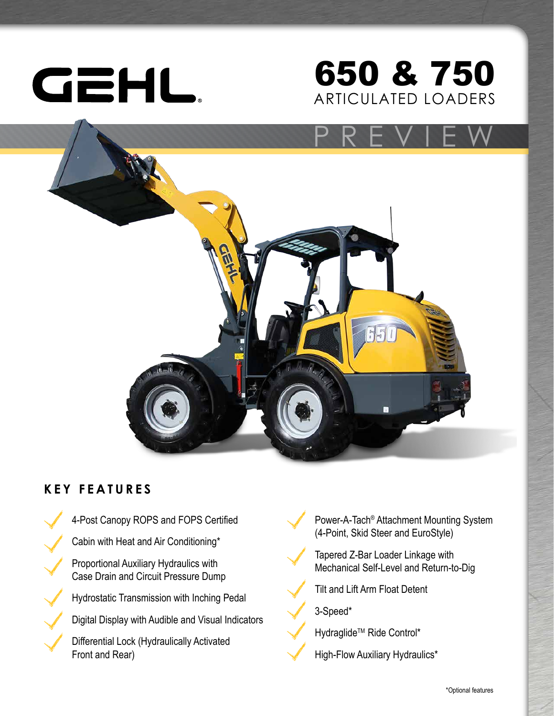

## ARTICULATED LOADERS 650 & 750



### **KEY FEATURES**

4-Post Canopy ROPS and FOPS Certified Cabin with Heat and Air Conditioning\* Proportional Auxiliary Hydraulics with Case Drain and Circuit Pressure Dump Hydrostatic Transmission with Inching Pedal Digital Display with Audible and Visual Indicators Differential Lock (Hydraulically Activated Front and Rear)

Power-A-Tach® Attachment Mounting System (4-Point, Skid Steer and EuroStyle)

Tapered Z-Bar Loader Linkage with Mechanical Self-Level and Return-to-Dig

Tilt and Lift Arm Float Detent

3-Speed\*

Hydraglide<sup>™</sup> Ride Control\*

High-Flow Auxiliary Hydraulics\*